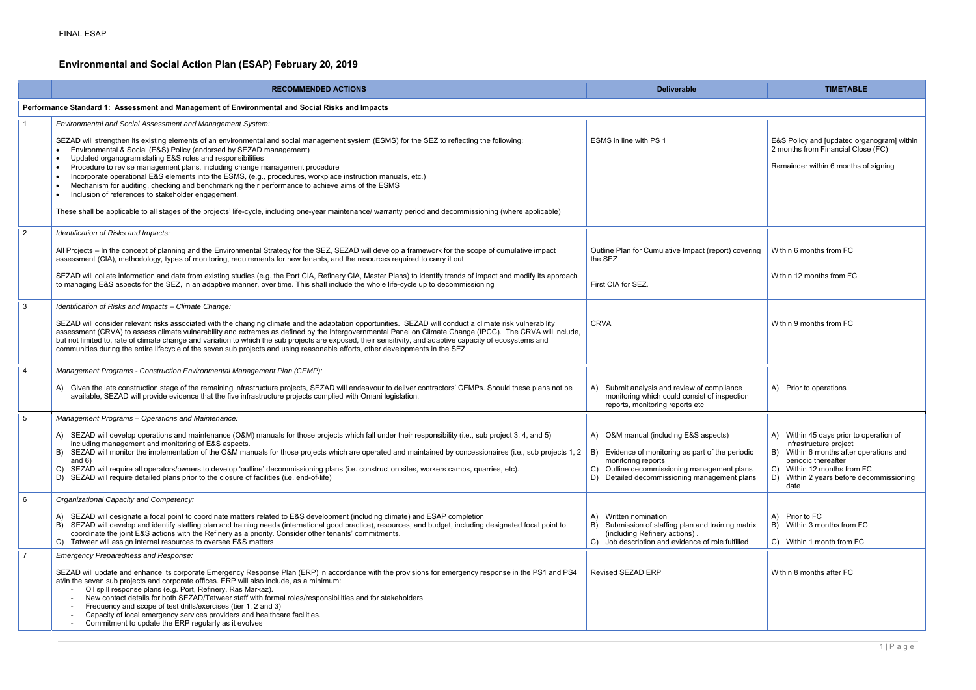## **Environmental and Social Action Plan (ESAP) February 20, 2019**

|                 | <b>RECOMMENDED ACTIONS</b>                                                                                                                                                                                                                                                                                                                                                                                                                                                                                                                                                                                                                         | <b>Deliverable</b>                                                                                                                                                                                                       | <b>TIMETABLE</b>                                                                                                                                                                                                       |  |  |  |
|-----------------|----------------------------------------------------------------------------------------------------------------------------------------------------------------------------------------------------------------------------------------------------------------------------------------------------------------------------------------------------------------------------------------------------------------------------------------------------------------------------------------------------------------------------------------------------------------------------------------------------------------------------------------------------|--------------------------------------------------------------------------------------------------------------------------------------------------------------------------------------------------------------------------|------------------------------------------------------------------------------------------------------------------------------------------------------------------------------------------------------------------------|--|--|--|
|                 | Performance Standard 1: Assessment and Management of Environmental and Social Risks and Impacts                                                                                                                                                                                                                                                                                                                                                                                                                                                                                                                                                    |                                                                                                                                                                                                                          |                                                                                                                                                                                                                        |  |  |  |
|                 | Environmental and Social Assessment and Management System:                                                                                                                                                                                                                                                                                                                                                                                                                                                                                                                                                                                         |                                                                                                                                                                                                                          |                                                                                                                                                                                                                        |  |  |  |
|                 | SEZAD will strengthen its existing elements of an environmental and social management system (ESMS) for the SEZ to reflecting the following:<br>Environmental & Social (E&S) Policy (endorsed by SEZAD management)<br>Updated organogram stating E&S roles and responsibilities<br>Procedure to revise management plans, including change management procedure<br>Incorporate operational E&S elements into the ESMS, (e.g., procedures, workplace instruction manuals, etc.)<br>Mechanism for auditing, checking and benchmarking their performance to achieve aims of the ESMS<br>Inclusion of references to stakeholder engagement.             | ESMS in line with PS 1                                                                                                                                                                                                   | E&S Policy and [updated organogram] within<br>2 months from Financial Close (FC)<br>Remainder within 6 months of signing                                                                                               |  |  |  |
|                 | These shall be applicable to all stages of the projects' life-cycle, including one-year maintenance/ warranty period and decommissioning (where applicable)                                                                                                                                                                                                                                                                                                                                                                                                                                                                                        |                                                                                                                                                                                                                          |                                                                                                                                                                                                                        |  |  |  |
| $\overline{2}$  | Identification of Risks and Impacts:                                                                                                                                                                                                                                                                                                                                                                                                                                                                                                                                                                                                               |                                                                                                                                                                                                                          |                                                                                                                                                                                                                        |  |  |  |
|                 | All Projects - In the concept of planning and the Environmental Strategy for the SEZ, SEZAD will develop a framework for the scope of cumulative impact<br>assessment (CIA), methodology, types of monitoring, requirements for new tenants, and the resources required to carry it out                                                                                                                                                                                                                                                                                                                                                            | Outline Plan for Cumulative Impact (report) covering<br>the SEZ                                                                                                                                                          | Within 6 months from FC                                                                                                                                                                                                |  |  |  |
|                 | SEZAD will collate information and data from existing studies (e.g. the Port CIA, Refinery CIA, Master Plans) to identify trends of impact and modify its approach<br>to managing E&S aspects for the SEZ, in an adaptive manner, over time. This shall include the whole life-cycle up to decommissioning                                                                                                                                                                                                                                                                                                                                         | First CIA for SEZ.                                                                                                                                                                                                       | Within 12 months from FC                                                                                                                                                                                               |  |  |  |
| $\mathbf{3}$    | Identification of Risks and Impacts - Climate Change:                                                                                                                                                                                                                                                                                                                                                                                                                                                                                                                                                                                              |                                                                                                                                                                                                                          |                                                                                                                                                                                                                        |  |  |  |
|                 | SEZAD will consider relevant risks associated with the changing climate and the adaptation opportunities. SEZAD will conduct a climate risk vulnerability<br>assessment (CRVA) to assess climate vulnerability and extremes as defined by the Intergovernmental Panel on Climate Change (IPCC). The CRVA will include,<br>but not limited to, rate of climate change and variation to which the sub projects are exposed, their sensitivity, and adaptive capacity of ecosystems and<br>communities during the entire lifecycle of the seven sub projects and using reasonable efforts, other developments in the SEZ                              | <b>CRVA</b>                                                                                                                                                                                                              | Within 9 months from FC                                                                                                                                                                                                |  |  |  |
| $\overline{4}$  | Management Programs - Construction Environmental Management Plan (CEMP):                                                                                                                                                                                                                                                                                                                                                                                                                                                                                                                                                                           |                                                                                                                                                                                                                          |                                                                                                                                                                                                                        |  |  |  |
|                 | A) Given the late construction stage of the remaining infrastructure projects, SEZAD will endeavour to deliver contractors' CEMPs. Should these plans not be<br>available, SEZAD will provide evidence that the five infrastructure projects complied with Omani legislation.                                                                                                                                                                                                                                                                                                                                                                      | A) Submit analysis and review of compliance<br>monitoring which could consist of inspection<br>reports, monitoring reports etc                                                                                           | A) Prior to operations                                                                                                                                                                                                 |  |  |  |
| $5\phantom{.0}$ | Management Programs - Operations and Maintenance:                                                                                                                                                                                                                                                                                                                                                                                                                                                                                                                                                                                                  |                                                                                                                                                                                                                          |                                                                                                                                                                                                                        |  |  |  |
|                 | A) SEZAD will develop operations and maintenance (O&M) manuals for those projects which fall under their responsibility (i.e., sub project 3, 4, and 5)<br>including management and monitoring of E&S aspects.<br>SEZAD will monitor the implementation of the O&M manuals for those projects which are operated and maintained by concessionaires (i.e., sub projects 1, 2 $\,$<br>B)<br>and $6)$<br>SEZAD will require all operators/owners to develop 'outline' decommissioning plans (i.e. construction sites, workers camps, quarries, etc).<br>C)<br>SEZAD will require detailed plans prior to the closure of facilities (i.e. end-of-life) | A) O&M manual (including E&S aspects)<br>Evidence of monitoring as part of the periodic<br>B)<br>monitoring reports<br>Outline decommissioning management plans<br>C)<br>Detailed decommissioning management plans<br>D) | A) Within 45 days prior to operation of<br>infrastructure project<br>B) Within 6 months after operations and<br>periodic thereafter<br>C) Within 12 months from FC<br>D) Within 2 years before decommissioning<br>date |  |  |  |
| 6               | Organizational Capacity and Competency:                                                                                                                                                                                                                                                                                                                                                                                                                                                                                                                                                                                                            |                                                                                                                                                                                                                          |                                                                                                                                                                                                                        |  |  |  |
|                 | SEZAD will designate a focal point to coordinate matters related to E&S development (including climate) and ESAP completion<br>SEZAD will develop and identify staffing plan and training needs (international good practice), resources, and budget, including designated focal point to<br>coordinate the joint E&S actions with the Refinery as a priority. Consider other tenants' commitments.<br>Tatweer will assign internal resources to oversee E&S matters                                                                                                                                                                               | Written nomination<br>$\mathsf{A}$<br>B) Submission of staffing plan and training matrix<br>(including Refinery actions).<br>C) Job description and evidence of role fulfilled                                           | A) Prior to FC<br>B) Within 3 months from FC<br>C) Within 1 month from FC                                                                                                                                              |  |  |  |
| $\overline{7}$  | <b>Emergency Preparedness and Response:</b>                                                                                                                                                                                                                                                                                                                                                                                                                                                                                                                                                                                                        |                                                                                                                                                                                                                          |                                                                                                                                                                                                                        |  |  |  |
|                 | SEZAD will update and enhance its corporate Emergency Response Plan (ERP) in accordance with the provisions for emergency response in the PS1 and PS4<br>at/in the seven sub projects and corporate offices. ERP will also include, as a minimum:<br>Oil spill response plans (e.g. Port, Refinery, Ras Markaz).<br>New contact details for both SEZAD/Tatweer staff with formal roles/responsibilities and for stakeholders<br>Frequency and scope of test drills/exercises (tier 1, 2 and 3)<br>Capacity of local emergency services providers and healthcare facilities.<br>Commitment to update the ERP regularly as it evolves                | <b>Revised SEZAD ERP</b>                                                                                                                                                                                                 | Within 8 months after FC                                                                                                                                                                                               |  |  |  |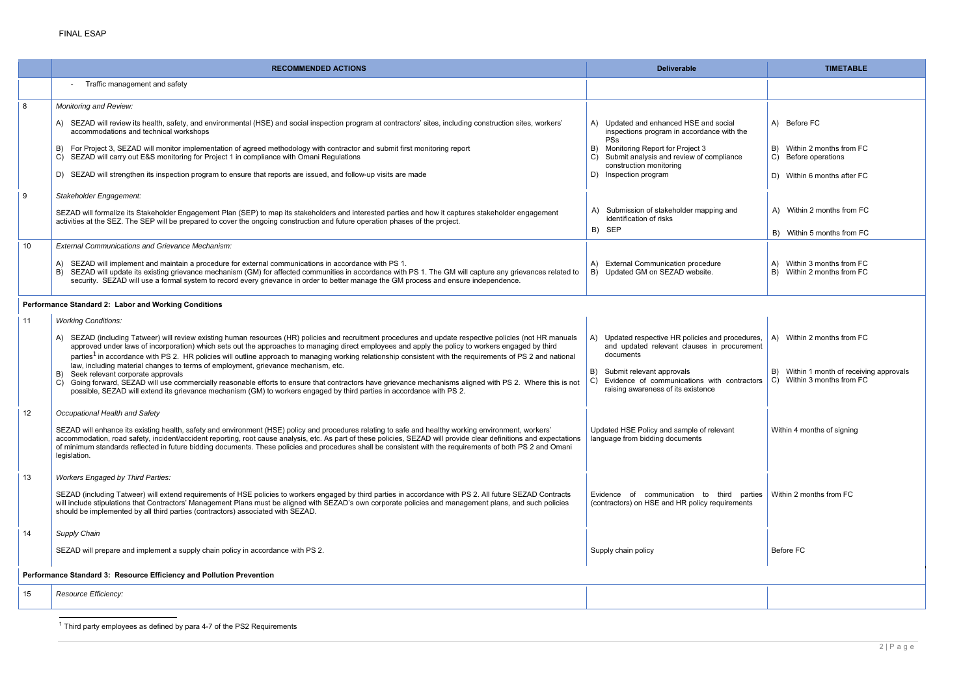|                                                                      | <b>RECOMMENDED ACTIONS</b>                                                                                                                                                                                                                                                                                                                                                                                                                                                                                                                                                                                                                                                                                                                                                                                                                                                                             | <b>Deliverable</b>                                                                                                                                                                                                                          | <b>TIMETABLE</b>                                                                                     |  |
|----------------------------------------------------------------------|--------------------------------------------------------------------------------------------------------------------------------------------------------------------------------------------------------------------------------------------------------------------------------------------------------------------------------------------------------------------------------------------------------------------------------------------------------------------------------------------------------------------------------------------------------------------------------------------------------------------------------------------------------------------------------------------------------------------------------------------------------------------------------------------------------------------------------------------------------------------------------------------------------|---------------------------------------------------------------------------------------------------------------------------------------------------------------------------------------------------------------------------------------------|------------------------------------------------------------------------------------------------------|--|
|                                                                      | Traffic management and safety                                                                                                                                                                                                                                                                                                                                                                                                                                                                                                                                                                                                                                                                                                                                                                                                                                                                          |                                                                                                                                                                                                                                             |                                                                                                      |  |
| 8                                                                    | Monitoring and Review:                                                                                                                                                                                                                                                                                                                                                                                                                                                                                                                                                                                                                                                                                                                                                                                                                                                                                 |                                                                                                                                                                                                                                             |                                                                                                      |  |
|                                                                      | SEZAD will review its health, safety, and environmental (HSE) and social inspection program at contractors' sites, including construction sites, workers'<br>accommodations and technical workshops                                                                                                                                                                                                                                                                                                                                                                                                                                                                                                                                                                                                                                                                                                    | A) Updated and enhanced HSE and social<br>inspections program in accordance with the                                                                                                                                                        | A) Before FC                                                                                         |  |
|                                                                      | For Project 3, SEZAD will monitor implementation of agreed methodology with contractor and submit first monitoring report<br>C) SEZAD will carry out E&S monitoring for Project 1 in compliance with Omani Regulations                                                                                                                                                                                                                                                                                                                                                                                                                                                                                                                                                                                                                                                                                 | PSs<br>B) Monitoring Report for Project 3<br>Submit analysis and review of compliance<br>C)                                                                                                                                                 | B) Within 2 months from FC<br>C) Before operations                                                   |  |
|                                                                      | D) SEZAD will strengthen its inspection program to ensure that reports are issued, and follow-up visits are made                                                                                                                                                                                                                                                                                                                                                                                                                                                                                                                                                                                                                                                                                                                                                                                       | construction monitoring<br>D) Inspection program                                                                                                                                                                                            | D) Within 6 months after FC                                                                          |  |
| 9                                                                    | Stakeholder Engagement:                                                                                                                                                                                                                                                                                                                                                                                                                                                                                                                                                                                                                                                                                                                                                                                                                                                                                |                                                                                                                                                                                                                                             |                                                                                                      |  |
|                                                                      | SEZAD will formalize its Stakeholder Engagement Plan (SEP) to map its stakeholders and interested parties and how it captures stakeholder engagement<br>activities at the SEZ. The SEP will be prepared to cover the ongoing construction and future operation phases of the project.                                                                                                                                                                                                                                                                                                                                                                                                                                                                                                                                                                                                                  | Submission of stakeholder mapping and<br>identification of risks<br>B) SEP                                                                                                                                                                  | A) Within 2 months from FC<br>B) Within 5 months from FC                                             |  |
| 10                                                                   | <b>External Communications and Grievance Mechanism:</b>                                                                                                                                                                                                                                                                                                                                                                                                                                                                                                                                                                                                                                                                                                                                                                                                                                                |                                                                                                                                                                                                                                             |                                                                                                      |  |
|                                                                      | A) SEZAD will implement and maintain a procedure for external communications in accordance with PS 1.<br>SEZAD will update its existing grievance mechanism (GM) for affected communities in accordance with PS 1. The GM will capture any grievances related to<br>security. SEZAD will use a formal system to record every grievance in order to better manage the GM process and ensure independence.                                                                                                                                                                                                                                                                                                                                                                                                                                                                                               | <b>External Communication procedure</b><br>(A)<br>B) Updated GM on SEZAD website.                                                                                                                                                           | A) Within 3 months from FC<br>B) Within 2 months from FC                                             |  |
|                                                                      | Performance Standard 2: Labor and Working Conditions                                                                                                                                                                                                                                                                                                                                                                                                                                                                                                                                                                                                                                                                                                                                                                                                                                                   |                                                                                                                                                                                                                                             |                                                                                                      |  |
| 11                                                                   | <b>Working Conditions:</b>                                                                                                                                                                                                                                                                                                                                                                                                                                                                                                                                                                                                                                                                                                                                                                                                                                                                             |                                                                                                                                                                                                                                             |                                                                                                      |  |
|                                                                      | SEZAD (including Tatweer) will review existing human resources (HR) policies and recruitment procedures and update respective policies (not HR manuals<br>approved under laws of incorporation) which sets out the approaches to managing direct employees and apply the policy to workers engaged by third<br>parties <sup>1</sup> in accordance with PS 2. HR policies will outline approach to managing working relationship consistent with the requirements of PS 2 and national<br>law, including material changes to terms of employment, grievance mechanism, etc.<br>Seek relevant corporate approvals<br>C) Going forward, SEZAD will use commercially reasonable efforts to ensure that contractors have grievance mechanisms aligned with PS 2. Where this is not<br>possible, SEZAD will extend its grievance mechanism (GM) to workers engaged by third parties in accordance with PS 2. | A) Updated respective HR policies and procedures,<br>and updated relevant clauses in procurement<br>documents<br>Submit relevant approvals<br>B)<br>Evidence of communications with contractors<br>C)<br>raising awareness of its existence | A) Within 2 months from FC<br>B) Within 1 month of receiving approvals<br>C) Within 3 months from FC |  |
| 12                                                                   | Occupational Health and Safety                                                                                                                                                                                                                                                                                                                                                                                                                                                                                                                                                                                                                                                                                                                                                                                                                                                                         |                                                                                                                                                                                                                                             |                                                                                                      |  |
|                                                                      | SEZAD will enhance its existing health, safety and environment (HSE) policy and procedures relating to safe and healthy working environment, workers'<br>accommodation, road safety, incident/accident reporting, root cause analysis, etc. As part of these policies, SEZAD will provide clear definitions and expectations<br>of minimum standards reflected in future bidding documents. These policies and procedures shall be consistent with the requirements of both PS 2 and Omani<br>legislation.                                                                                                                                                                                                                                                                                                                                                                                             | Updated HSE Policy and sample of relevant<br>language from bidding documents                                                                                                                                                                | Within 4 months of signing                                                                           |  |
| 13                                                                   | <b>Workers Engaged by Third Parties:</b>                                                                                                                                                                                                                                                                                                                                                                                                                                                                                                                                                                                                                                                                                                                                                                                                                                                               |                                                                                                                                                                                                                                             |                                                                                                      |  |
|                                                                      | SEZAD (including Tatweer) will extend requirements of HSE policies to workers engaged by third parties in accordance with PS 2. All future SEZAD Contracts<br>will include stipulations that Contractors' Management Plans must be aligned with SEZAD's own corporate policies and management plans, and such policies<br>should be implemented by all third parties (contractors) associated with SEZAD.                                                                                                                                                                                                                                                                                                                                                                                                                                                                                              | Evidence of communication to third parties   Within 2 months from FC<br>(contractors) on HSE and HR policy requirements                                                                                                                     |                                                                                                      |  |
| 14                                                                   | Supply Chain                                                                                                                                                                                                                                                                                                                                                                                                                                                                                                                                                                                                                                                                                                                                                                                                                                                                                           |                                                                                                                                                                                                                                             |                                                                                                      |  |
|                                                                      | SEZAD will prepare and implement a supply chain policy in accordance with PS 2.                                                                                                                                                                                                                                                                                                                                                                                                                                                                                                                                                                                                                                                                                                                                                                                                                        | Supply chain policy                                                                                                                                                                                                                         | Before FC                                                                                            |  |
| Performance Standard 3: Resource Efficiency and Pollution Prevention |                                                                                                                                                                                                                                                                                                                                                                                                                                                                                                                                                                                                                                                                                                                                                                                                                                                                                                        |                                                                                                                                                                                                                                             |                                                                                                      |  |
| 15                                                                   | Resource Efficiency:                                                                                                                                                                                                                                                                                                                                                                                                                                                                                                                                                                                                                                                                                                                                                                                                                                                                                   |                                                                                                                                                                                                                                             |                                                                                                      |  |
|                                                                      |                                                                                                                                                                                                                                                                                                                                                                                                                                                                                                                                                                                                                                                                                                                                                                                                                                                                                                        |                                                                                                                                                                                                                                             |                                                                                                      |  |

 $^{\text{1}}$  Third party employees as defined by para 4-7 of the PS2 Requirements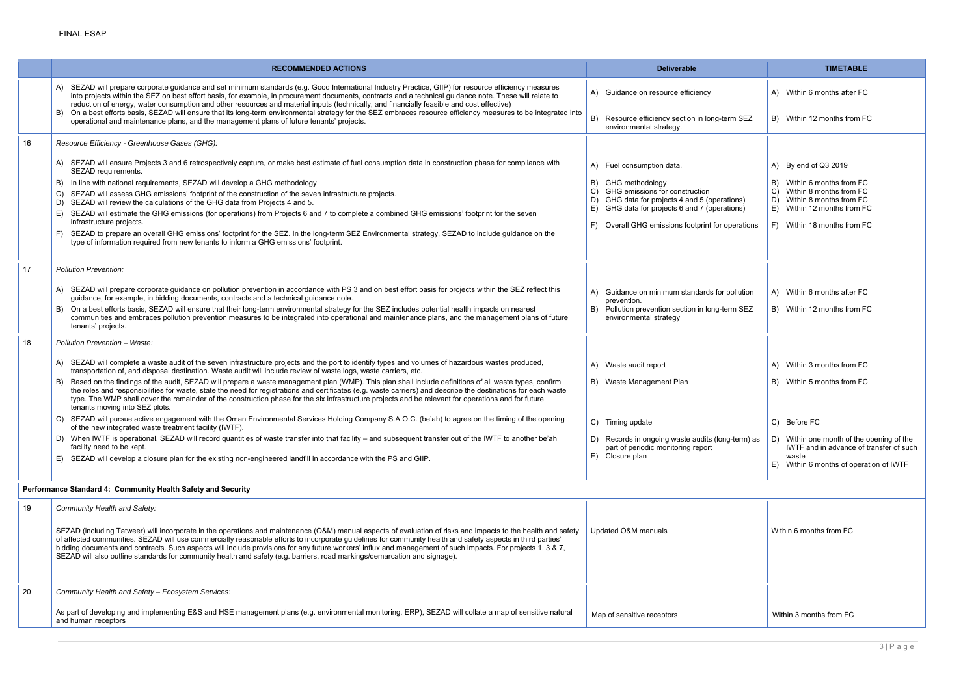|            |                         | <b>TIMETABLE</b>                                                                                                   |  |
|------------|-------------------------|--------------------------------------------------------------------------------------------------------------------|--|
|            |                         | A) Within 6 months after FC                                                                                        |  |
| <b>SEZ</b> |                         | B) Within 12 months from FC                                                                                        |  |
|            |                         |                                                                                                                    |  |
|            |                         |                                                                                                                    |  |
|            |                         | A) By end of Q3 2019                                                                                               |  |
| ıs)<br>ıs) | B)                      | Within 6 months from FC<br>C) Within 8 months from FC<br>D) Within 8 months from FC<br>E) Within 12 months from FC |  |
| ations     |                         | F) Within 18 months from FC                                                                                        |  |
|            |                         |                                                                                                                    |  |
| ution      |                         | A) Within 6 months after FC                                                                                        |  |
| <b>SEZ</b> |                         | B) Within 12 months from FC                                                                                        |  |
|            |                         |                                                                                                                    |  |
|            |                         | A) Within 3 months from FC                                                                                         |  |
|            |                         | B) Within 5 months from FC                                                                                         |  |
|            |                         | C) Before FC                                                                                                       |  |
| rm) as     |                         | D) Within one month of the opening of the<br>IWTF and in advance of transfer of such                               |  |
|            | E)                      | waste<br>Within 6 months of operation of IWTF                                                                      |  |
|            |                         |                                                                                                                    |  |
|            | Within 6 months from FC |                                                                                                                    |  |
|            |                         |                                                                                                                    |  |
|            |                         |                                                                                                                    |  |
|            |                         | Within 3 months from FC                                                                                            |  |
|            |                         |                                                                                                                    |  |

|    | <b>RECOMMENDED ACTIONS</b>                                                                                                                                                                                                                                                                                                                                                                                                                                                                                                                                                                                               | <b>Deliverable</b>                                                                              | <b>TIMETABLE</b>                                               |
|----|--------------------------------------------------------------------------------------------------------------------------------------------------------------------------------------------------------------------------------------------------------------------------------------------------------------------------------------------------------------------------------------------------------------------------------------------------------------------------------------------------------------------------------------------------------------------------------------------------------------------------|-------------------------------------------------------------------------------------------------|----------------------------------------------------------------|
|    | A) SEZAD will prepare corporate guidance and set minimum standards (e.g. Good International Industry Practice, GIIP) for resource efficiency measures<br>into projects within the SEZ on best effort basis, for example, in procurement documents, contracts and a technical guidance note. These will relate to<br>reduction of energy, water consumption and other resources and material inputs (technically, and financially feasible and cost effective)                                                                                                                                                            | A) Guidance on resource efficiency                                                              | A) Within 6 months after FC                                    |
|    | On a best efforts basis, SEZAD will ensure that its long-term environmental strategy for the SEZ embraces resource efficiency measures to be integrated into<br>operational and maintenance plans, and the management plans of future tenants' projects.                                                                                                                                                                                                                                                                                                                                                                 | B)<br>Resource efficiency section in long-term SEZ<br>environmental strategy.                   | B) Within 12 months from FO                                    |
| 16 | Resource Efficiency - Greenhouse Gases (GHG):                                                                                                                                                                                                                                                                                                                                                                                                                                                                                                                                                                            |                                                                                                 |                                                                |
|    | SEZAD will ensure Projects 3 and 6 retrospectively capture, or make best estimate of fuel consumption data in construction phase for compliance with<br>SEZAD requirements.                                                                                                                                                                                                                                                                                                                                                                                                                                              | A) Fuel consumption data.                                                                       | A) By end of $Q3 2019$                                         |
|    | In line with national requirements, SEZAD will develop a GHG methodology                                                                                                                                                                                                                                                                                                                                                                                                                                                                                                                                                 | GHG methodology<br>B)                                                                           | Within 6 months from FC                                        |
|    | SEZAD will assess GHG emissions' footprint of the construction of the seven infrastructure projects.<br>SEZAD will review the calculations of the GHG data from Projects 4 and 5.                                                                                                                                                                                                                                                                                                                                                                                                                                        | GHG emissions for construction<br>C)<br>GHG data for projects 4 and 5 (operations)<br>D)        | Within 8 months from FC<br>C)<br>Within 8 months from FC<br>D) |
|    | SEZAD will estimate the GHG emissions (for operations) from Projects 6 and 7 to complete a combined GHG emissions' footprint for the seven<br>infrastructure projects.                                                                                                                                                                                                                                                                                                                                                                                                                                                   | E) GHG data for projects 6 and 7 (operations)<br>Overall GHG emissions footprint for operations | E) Within 12 months from FO<br>F) Within 18 months from F0     |
|    | SEZAD to prepare an overall GHG emissions' footprint for the SEZ. In the long-term SEZ Environmental strategy, SEZAD to include guidance on the<br>type of information required from new tenants to inform a GHG emissions' footprint.                                                                                                                                                                                                                                                                                                                                                                                   |                                                                                                 |                                                                |
| 17 | <b>Pollution Prevention:</b>                                                                                                                                                                                                                                                                                                                                                                                                                                                                                                                                                                                             |                                                                                                 |                                                                |
|    | SEZAD will prepare corporate guidance on pollution prevention in accordance with PS 3 and on best effort basis for projects within the SEZ reflect this<br>guidance, for example, in bidding documents, contracts and a technical guidance note.                                                                                                                                                                                                                                                                                                                                                                         | A) Guidance on minimum standards for pollution                                                  | A) Within 6 months after FC                                    |
|    | On a best efforts basis, SEZAD will ensure that their long-term environmental strategy for the SEZ includes potential health impacts on nearest<br>communities and embraces pollution prevention measures to be integrated into operational and maintenance plans, and the management plans of future<br>tenants' projects.                                                                                                                                                                                                                                                                                              | prevention.<br>Pollution prevention section in long-term SEZ<br>B)<br>environmental strategy    | B) Within 12 months from FO                                    |
| 18 | Pollution Prevention - Waste:                                                                                                                                                                                                                                                                                                                                                                                                                                                                                                                                                                                            |                                                                                                 |                                                                |
|    | A) SEZAD will complete a waste audit of the seven infrastructure projects and the port to identify types and volumes of hazardous wastes produced,<br>transportation of, and disposal destination. Waste audit will include review of waste logs, waste carriers, etc.                                                                                                                                                                                                                                                                                                                                                   | A) Waste audit report                                                                           | A) Within 3 months from FC                                     |
|    | Based on the findings of the audit, SEZAD will prepare a waste management plan (WMP). This plan shall include definitions of all waste types, confirm<br>the roles and responsibilities for waste, state the need for registrations and certificates (e.g. waste carriers) and describe the destinations for each waste<br>type. The WMP shall cover the remainder of the construction phase for the six infrastructure projects and be relevant for operations and for future<br>tenants moving into SEZ plots.                                                                                                         | B) Waste Management Plan                                                                        | B) Within 5 months from FC                                     |
|    | C) SEZAD will pursue active engagement with the Oman Environmental Services Holding Company S.A.O.C. (be'ah) to agree on the timing of the opening<br>of the new integrated waste treatment facility (IWTF).                                                                                                                                                                                                                                                                                                                                                                                                             | C) Timing update                                                                                | C) Before FC                                                   |
|    | D) When IWTF is operational, SEZAD will record quantities of waste transfer into that facility – and subsequent transfer out of the IWTF to another be'ah<br>facility need to be kept.                                                                                                                                                                                                                                                                                                                                                                                                                                   | D) Records in ongoing waste audits (long-term) as<br>part of periodic monitoring report         | D) Within one month of the o<br>IWTF and in advance of t       |
|    | E) SEZAD will develop a closure plan for the existing non-engineered landfill in accordance with the PS and GIIP.                                                                                                                                                                                                                                                                                                                                                                                                                                                                                                        | E) Closure plan                                                                                 | waste<br>E) Within 6 months of opera                           |
|    | Performance Standard 4: Community Health Safety and Security                                                                                                                                                                                                                                                                                                                                                                                                                                                                                                                                                             |                                                                                                 |                                                                |
| 19 | Community Health and Safety:                                                                                                                                                                                                                                                                                                                                                                                                                                                                                                                                                                                             |                                                                                                 |                                                                |
|    | SEZAD (including Tatweer) will incorporate in the operations and maintenance (O&M) manual aspects of evaluation of risks and impacts to the health and safety<br>of affected communities. SEZAD will use commercially reasonable efforts to incorporate guidelines for community health and safety aspects in third parties'<br>bidding documents and contracts. Such aspects will include provisions for any future workers' influx and management of such impacts. For projects 1, 3 & 7,<br>SEZAD will also outline standards for community health and safety (e.g. barriers, road markings/demarcation and signage). | Updated O&M manuals                                                                             | Within 6 months from FC                                        |
| 20 | Community Health and Safety - Ecosystem Services:                                                                                                                                                                                                                                                                                                                                                                                                                                                                                                                                                                        |                                                                                                 |                                                                |
|    |                                                                                                                                                                                                                                                                                                                                                                                                                                                                                                                                                                                                                          |                                                                                                 |                                                                |
|    | As part of developing and implementing E&S and HSE management plans (e.g. environmental monitoring, ERP), SEZAD will collate a map of sensitive natural<br>and human receptors                                                                                                                                                                                                                                                                                                                                                                                                                                           | Map of sensitive receptors                                                                      | Within 3 months from FC                                        |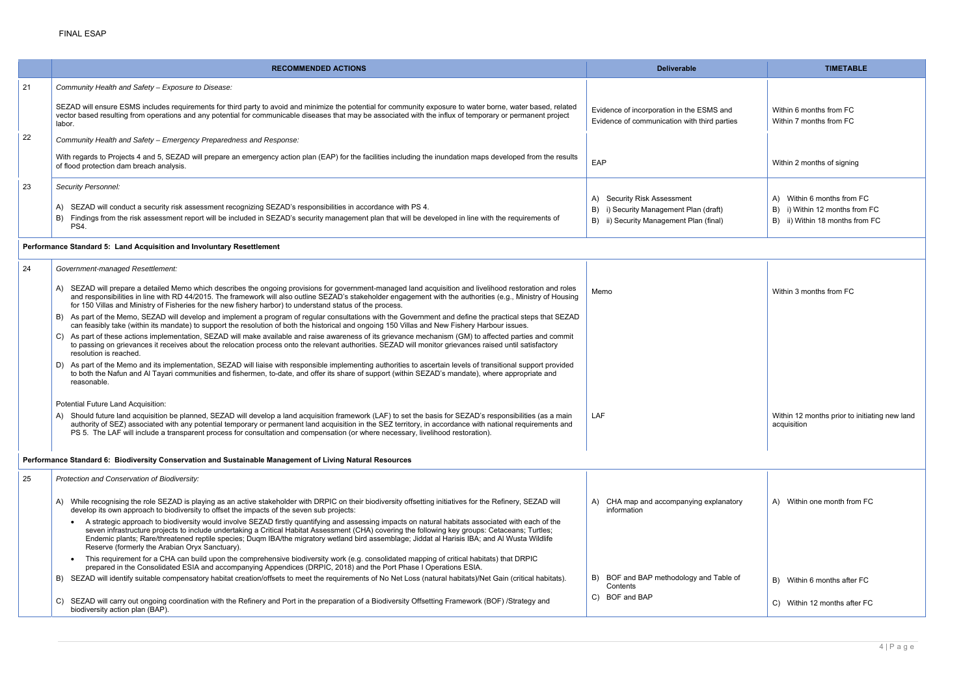|    | <b>RECOMMENDED ACTIONS</b>                                                                                                                                                                                                                                                                                                                                                                                                                                                                               | <b>Deliverable</b>                                                                                                         | <b>TIMETABLE</b>                                                                                |
|----|----------------------------------------------------------------------------------------------------------------------------------------------------------------------------------------------------------------------------------------------------------------------------------------------------------------------------------------------------------------------------------------------------------------------------------------------------------------------------------------------------------|----------------------------------------------------------------------------------------------------------------------------|-------------------------------------------------------------------------------------------------|
| 21 | Community Health and Safety - Exposure to Disease:                                                                                                                                                                                                                                                                                                                                                                                                                                                       |                                                                                                                            |                                                                                                 |
|    | SEZAD will ensure ESMS includes requirements for third party to avoid and minimize the potential for community exposure to water borne, water based, related<br>vector based resulting from operations and any potential for communicable diseases that may be associated with the influx of temporary or permanent project<br>labor.                                                                                                                                                                    | Evidence of incorporation in the ESMS and<br>Evidence of communication with third parties                                  | Within 6 months from FC<br>Within 7 months from FC                                              |
| 22 | Community Health and Safety - Emergency Preparedness and Response:                                                                                                                                                                                                                                                                                                                                                                                                                                       |                                                                                                                            |                                                                                                 |
|    | With regards to Projects 4 and 5, SEZAD will prepare an emergency action plan (EAP) for the facilities including the inundation maps developed from the results<br>of flood protection dam breach analysis.                                                                                                                                                                                                                                                                                              | EAP                                                                                                                        | Within 2 months of signing                                                                      |
| 23 | <b>Security Personnel:</b>                                                                                                                                                                                                                                                                                                                                                                                                                                                                               |                                                                                                                            |                                                                                                 |
|    | A) SEZAD will conduct a security risk assessment recognizing SEZAD's responsibilities in accordance with PS 4.<br>Findings from the risk assessment report will be included in SEZAD's security management plan that will be developed in line with the requirements of<br>B)<br>PS4.                                                                                                                                                                                                                    | <b>Security Risk Assessment</b><br>A)<br>B) i) Security Management Plan (draft)<br>B) ii) Security Management Plan (final) | A) Within 6 months from FC<br>B) i) Within 12 months from FC<br>B) ii) Within 18 months from FC |
|    | Performance Standard 5: Land Acquisition and Involuntary Resettlement                                                                                                                                                                                                                                                                                                                                                                                                                                    |                                                                                                                            |                                                                                                 |
| 24 | Government-managed Resettlement:                                                                                                                                                                                                                                                                                                                                                                                                                                                                         |                                                                                                                            |                                                                                                 |
|    | A) SEZAD will prepare a detailed Memo which describes the ongoing provisions for government-managed land acquisition and livelihood restoration and roles<br>and responsibilities in line with RD 44/2015. The framework will also outline SEZAD's stakeholder engagement with the authorities (e.g., Ministry of Housing<br>for 150 Villas and Ministry of Fisheries for the new fishery harbor) to understand status of the process.                                                                   | Memo                                                                                                                       | Within 3 months from FC                                                                         |
|    | B) As part of the Memo, SEZAD will develop and implement a program of regular consultations with the Government and define the practical steps that SEZAD<br>can feasibly take (within its mandate) to support the resolution of both the historical and ongoing 150 Villas and New Fishery Harbour issues.                                                                                                                                                                                              |                                                                                                                            |                                                                                                 |
|    | C) As part of these actions implementation, SEZAD will make available and raise awareness of its grievance mechanism (GM) to affected parties and commit<br>to passing on grievances it receives about the relocation process onto the relevant authorities. SEZAD will monitor grievances raised until satisfactory<br>resolution is reached.                                                                                                                                                           |                                                                                                                            |                                                                                                 |
|    | D) As part of the Memo and its implementation, SEZAD will liaise with responsible implementing authorities to ascertain levels of transitional support provided<br>to both the Nafun and Al Tayari communities and fishermen, to-date, and offer its share of support (within SEZAD's mandate), where appropriate and<br>reasonable.                                                                                                                                                                     |                                                                                                                            |                                                                                                 |
|    | Potential Future Land Acquisition:                                                                                                                                                                                                                                                                                                                                                                                                                                                                       |                                                                                                                            |                                                                                                 |
|    | Should future land acquisition be planned, SEZAD will develop a land acquisition framework (LAF) to set the basis for SEZAD's responsibilities (as a main<br>authority of SEZ) associated with any potential temporary or permanent land acquisition in the SEZ territory, in accordance with national requirements and<br>PS 5. The LAF will include a transparent process for consultation and compensation (or where necessary, livelihood restoration).                                              | LAF                                                                                                                        | Within 12 months prior to initiating new land<br>acquisition                                    |
|    | Performance Standard 6: Biodiversity Conservation and Sustainable Management of Living Natural Resources                                                                                                                                                                                                                                                                                                                                                                                                 |                                                                                                                            |                                                                                                 |
| 25 | Protection and Conservation of Biodiversity:                                                                                                                                                                                                                                                                                                                                                                                                                                                             |                                                                                                                            |                                                                                                 |
|    | While recognising the role SEZAD is playing as an active stakeholder with DRPIC on their biodiversity offsetting initiatives for the Refinery, SEZAD will<br>develop its own approach to biodiversity to offset the impacts of the seven sub projects:                                                                                                                                                                                                                                                   | A) CHA map and accompanying explanatory<br>information                                                                     | A) Within one month from FC                                                                     |
|    | A strategic approach to biodiversity would involve SEZAD firstly quantifying and assessing impacts on natural habitats associated with each of the<br>seven infrastructure projects to include undertaking a Critical Habitat Assessment (CHA) covering the following key groups: Cetaceans; Turtles;<br>Endemic plants; Rare/threatened reptile species; Duqm IBA/the migratory wetland bird assemblage; Jiddat al Harisis IBA; and Al Wusta Wildlife<br>Reserve (formerly the Arabian Oryx Sanctuary). |                                                                                                                            |                                                                                                 |
|    | This requirement for a CHA can build upon the comprehensive biodiversity work (e.g. consolidated mapping of critical habitats) that DRPIC<br>prepared in the Consolidated ESIA and accompanying Appendices (DRPIC, 2018) and the Port Phase I Operations ESIA.                                                                                                                                                                                                                                           |                                                                                                                            |                                                                                                 |
|    | B) SEZAD will identify suitable compensatory habitat creation/offsets to meet the requirements of No Net Loss (natural habitats)/Net Gain (critical habitats).                                                                                                                                                                                                                                                                                                                                           | BOF and BAP methodology and Table of<br>B)<br>Contents                                                                     | B) Within 6 months after FC                                                                     |
|    | SEZAD will carry out ongoing coordination with the Refinery and Port in the preparation of a Biodiversity Offsetting Framework (BOF) /Strategy and<br>biodiversity action plan (BAP).                                                                                                                                                                                                                                                                                                                    | BOF and BAP<br>C)                                                                                                          | C) Within 12 months after FC                                                                    |

| <b>TIMETABLE</b>                                             |
|--------------------------------------------------------------|
|                                                              |
| Within 6 months from FC                                      |
| Within 7 months from FC                                      |
| Within 2 months of signing                                   |
| A) Within 6 months from FC                                   |
| B) i) Within 12 months from FC                               |
| B) ii) Within 18 months from FC                              |
|                                                              |
| Within 3 months from FC                                      |
|                                                              |
|                                                              |
| Within 12 months prior to initiating new land<br>acquisition |
|                                                              |